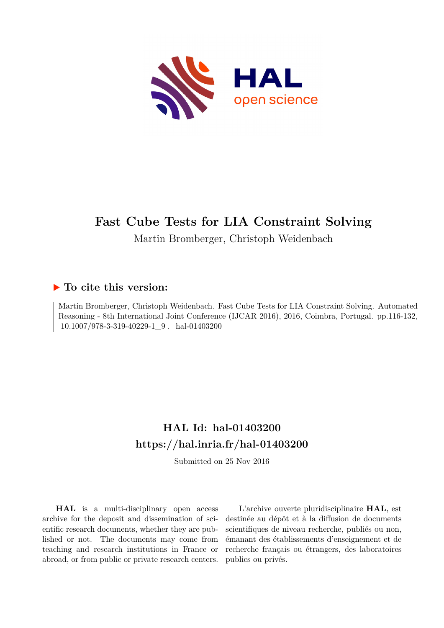

# **Fast Cube Tests for LIA Constraint Solving**

### Martin Bromberger, Christoph Weidenbach

### **To cite this version:**

Martin Bromberger, Christoph Weidenbach. Fast Cube Tests for LIA Constraint Solving. Automated Reasoning - 8th International Joint Conference (IJCAR 2016), 2016, Coimbra, Portugal. pp.116-132,  $10.1007/978-3-319-40229-1$  9. hal-01403200

## **HAL Id: hal-01403200 <https://hal.inria.fr/hal-01403200>**

Submitted on 25 Nov 2016

**HAL** is a multi-disciplinary open access archive for the deposit and dissemination of scientific research documents, whether they are published or not. The documents may come from teaching and research institutions in France or abroad, or from public or private research centers.

L'archive ouverte pluridisciplinaire **HAL**, est destinée au dépôt et à la diffusion de documents scientifiques de niveau recherche, publiés ou non, émanant des établissements d'enseignement et de recherche français ou étrangers, des laboratoires publics ou privés.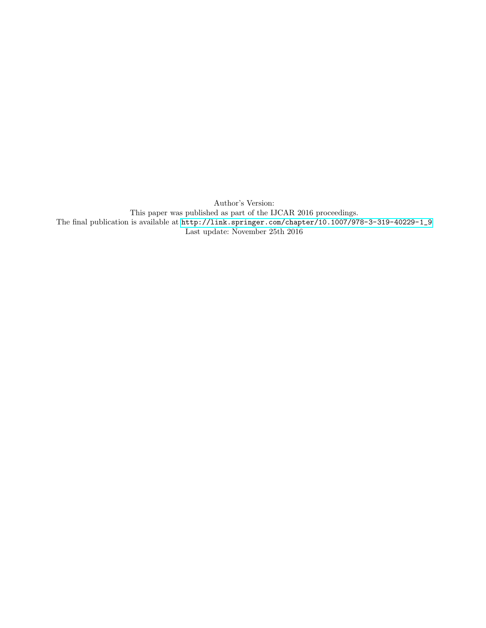Author's Version: This paper was published as part of the IJCAR 2016 proceedings. The final publication is available at [http://link.springer.com/chapter/10.1007/978-3-319-40229-1\\_9](http://link.springer.com/chapter/10.1007/978-3-319-40229-1_9) Last update: November 25th 2016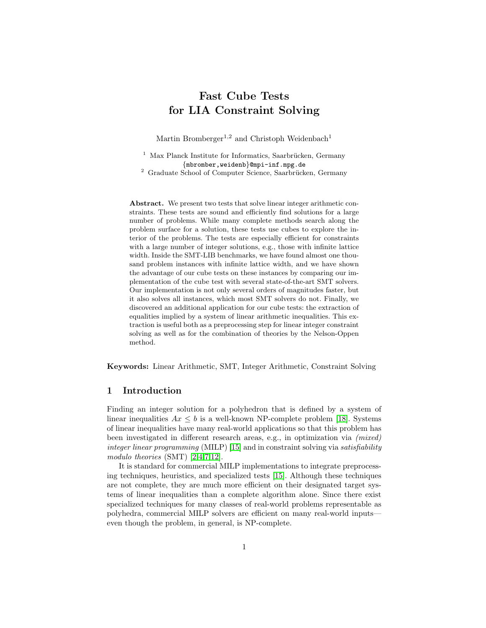### Fast Cube Tests for LIA Constraint Solving

Martin Bromberger<sup>1,2</sup> and Christoph Weidenbach<sup>1</sup>

 $1$  Max Planck Institute for Informatics, Saarbrücken, Germany {mbromber,weidenb}@mpi-inf.mpg.de

 $2$  Graduate School of Computer Science, Saarbrücken, Germany

Abstract. We present two tests that solve linear integer arithmetic constraints. These tests are sound and efficiently find solutions for a large number of problems. While many complete methods search along the problem surface for a solution, these tests use cubes to explore the interior of the problems. The tests are especially efficient for constraints with a large number of integer solutions, e.g., those with infinite lattice width. Inside the SMT-LIB benchmarks, we have found almost one thousand problem instances with infinite lattice width, and we have shown the advantage of our cube tests on these instances by comparing our implementation of the cube test with several state-of-the-art SMT solvers. Our implementation is not only several orders of magnitudes faster, but it also solves all instances, which most SMT solvers do not. Finally, we discovered an additional application for our cube tests: the extraction of equalities implied by a system of linear arithmetic inequalities. This extraction is useful both as a preprocessing step for linear integer constraint solving as well as for the combination of theories by the Nelson-Oppen method.

Keywords: Linear Arithmetic, SMT, Integer Arithmetic, Constraint Solving

#### 1 Introduction

Finding an integer solution for a polyhedron that is defined by a system of linear inequalities  $Ax \leq b$  is a well-known NP-complete problem [18]. Systems of linear inequalities have many real-world applications so that this problem has been investigated in different research areas, e.g., in optimization via (mixed) integer linear programming (MILP) [15] and in constraint solving via satisfiability modulo theories (SMT) [2,4,7,12].

It is standard for commercial MILP implementations to integrate preprocessing techniques, heuristics, and specialized tests [15]. Although these techniques are not complete, they are much more efficient on their designated target systems of linear inequalities than a complete algorithm alone. Since there exist specialized techniques for many classes of real-world problems representable as polyhedra, commercial MILP solvers are efficient on many real-world inputs even though the problem, in general, is NP-complete.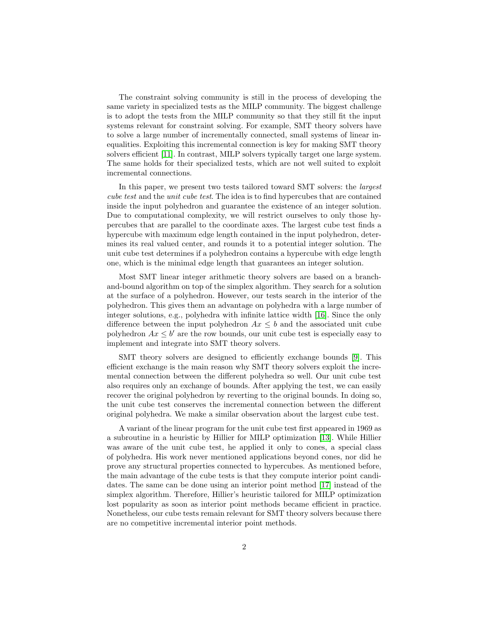The constraint solving community is still in the process of developing the same variety in specialized tests as the MILP community. The biggest challenge is to adopt the tests from the MILP community so that they still fit the input systems relevant for constraint solving. For example, SMT theory solvers have to solve a large number of incrementally connected, small systems of linear inequalities. Exploiting this incremental connection is key for making SMT theory solvers efficient [11]. In contrast, MILP solvers typically target one large system. The same holds for their specialized tests, which are not well suited to exploit incremental connections.

In this paper, we present two tests tailored toward SMT solvers: the largest cube test and the unit cube test. The idea is to find hypercubes that are contained inside the input polyhedron and guarantee the existence of an integer solution. Due to computational complexity, we will restrict ourselves to only those hypercubes that are parallel to the coordinate axes. The largest cube test finds a hypercube with maximum edge length contained in the input polyhedron, determines its real valued center, and rounds it to a potential integer solution. The unit cube test determines if a polyhedron contains a hypercube with edge length one, which is the minimal edge length that guarantees an integer solution.

Most SMT linear integer arithmetic theory solvers are based on a branchand-bound algorithm on top of the simplex algorithm. They search for a solution at the surface of a polyhedron. However, our tests search in the interior of the polyhedron. This gives them an advantage on polyhedra with a large number of integer solutions, e.g., polyhedra with infinite lattice width [16]. Since the only difference between the input polyhedron  $Ax \leq b$  and the associated unit cube polyhedron  $Ax \leq b'$  are the row bounds, our unit cube test is especially easy to implement and integrate into SMT theory solvers.

SMT theory solvers are designed to efficiently exchange bounds [9]. This efficient exchange is the main reason why SMT theory solvers exploit the incremental connection between the different polyhedra so well. Our unit cube test also requires only an exchange of bounds. After applying the test, we can easily recover the original polyhedron by reverting to the original bounds. In doing so, the unit cube test conserves the incremental connection between the different original polyhedra. We make a similar observation about the largest cube test.

A variant of the linear program for the unit cube test first appeared in 1969 as a subroutine in a heuristic by Hillier for MILP optimization [13]. While Hillier was aware of the unit cube test, he applied it only to cones, a special class of polyhedra. His work never mentioned applications beyond cones, nor did he prove any structural properties connected to hypercubes. As mentioned before, the main advantage of the cube tests is that they compute interior point candidates. The same can be done using an interior point method [17] instead of the simplex algorithm. Therefore, Hillier's heuristic tailored for MILP optimization lost popularity as soon as interior point methods became efficient in practice. Nonetheless, our cube tests remain relevant for SMT theory solvers because there are no competitive incremental interior point methods.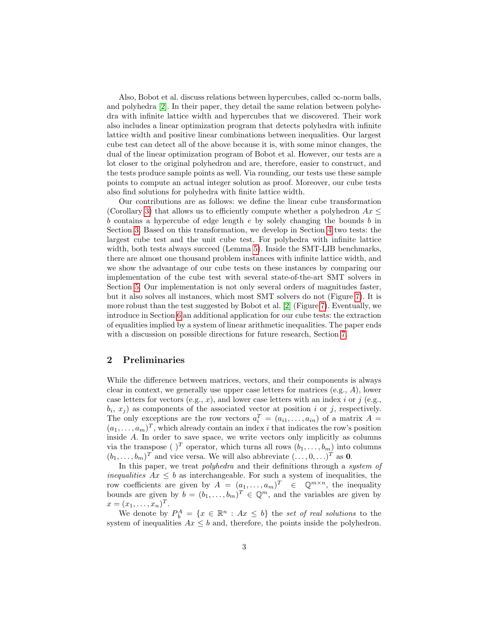Also, Bobot et al. discuss relations between hypercubes, called  $\infty$ -norm balls, and polyhedra [2]. In their paper, they detail the same relation between polyhedra with infinite lattice width and hypercubes that we discovered. Their work also includes a linear optimization program that detects polyhedra with infinite lattice width and positive linear combinations between inequalities. Our largest cube test can detect all of the above because it is, with some minor changes, the dual of the linear optimization program of Bobot et al. However, our tests are a lot closer to the original polyhedron and are, therefore, easier to construct, and the tests produce sample points as well. Via rounding, our tests use these sample points to compute an actual integer solution as proof. Moreover, our cube tests also find solutions for polyhedra with finite lattice width.

Our contributions are as follows: we define the linear cube transformation (Corollary 3) that allows us to efficiently compute whether a polyhedron  $Ax \leq$  $b$  contains a hypercube of edge length  $e$  by solely changing the bounds  $b$  in Section 3. Based on this transformation, we develop in Section 4 two tests: the largest cube test and the unit cube test. For polyhedra with infinite lattice width, both tests always succeed (Lemma 5). Inside the SMT-LIB benchmarks, there are almost one thousand problem instances with infinite lattice width, and we show the advantage of our cube tests on these instances by comparing our implementation of the cube test with several state-of-the-art SMT solvers in Section 5. Our implementation is not only several orders of magnitudes faster, but it also solves all instances, which most SMT solvers do not (Figure 7). It is more robust than the test suggested by Bobot et al. [2] (Figure 7). Eventually, we introduce in Section 6 an additional application for our cube tests: the extraction of equalities implied by a system of linear arithmetic inequalities. The paper ends with a discussion on possible directions for future research, Section 7.

#### 2 Preliminaries

While the difference between matrices, vectors, and their components is always clear in context, we generally use upper case letters for matrices (e.g., A), lower case letters for vectors (e.g., x), and lower case letters with an index i or j (e.g.,  $b_i, x_j$  as components of the associated vector at position i or j, respectively. The only exceptions are the row vectors  $a_i^T = (a_{i1}, \ldots, a_{in})$  of a matrix  $A =$  $(a_1, \ldots, a_m)^T$ , which already contain an index i that indicates the row's position inside A. In order to save space, we write vectors only implicitly as columns via the transpose ( )<sup>T</sup> operator, which turns all rows  $(b_1, \ldots, b_m)$  into columns  $(b_1, \ldots, b_m)^T$  and vice versa. We will also abbreviate  $(\ldots, 0, \ldots)^T$  as **0**.

In this paper, we treat *polyhedra* and their definitions through a *system of* inequalities  $Ax \leq b$  as interchangeable. For such a system of inequalities, the row coefficients are given by  $A = (a_1, \ldots, a_m)^T \in \mathbb{Q}^{m \times n}$ , the inequality bounds are given by  $b = (b_1, \ldots, b_m)^T \in \mathbb{Q}^m$ , and the variables are given by  $x = (x_1, \ldots, x_n)^T.$ 

We denote by  $P_b^A = \{x \in \mathbb{R}^n : Ax \leq b\}$  the set of real solutions to the system of inequalities  $Ax \leq b$  and, therefore, the points inside the polyhedron.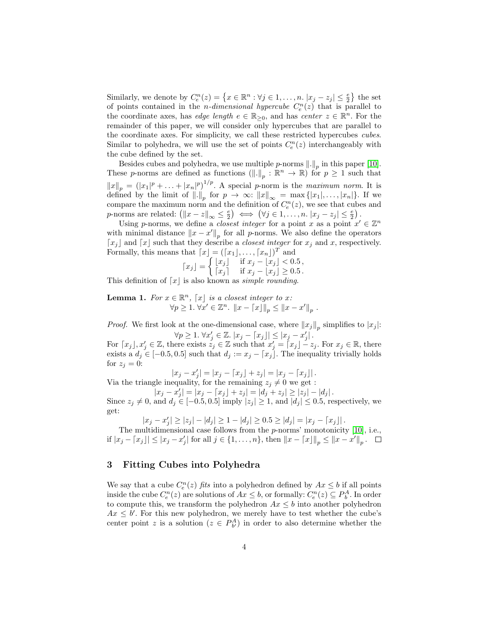Similarly, we denote by  $C_e^n(z) = \{x \in \mathbb{R}^n : \forall j \in 1, \ldots, n. |x_j - z_j| \leq \frac{e}{2}\}$  the set of points contained in the *n*-dimensional hypercube  $C_e^n(z)$  that is parallel to the coordinate axes, has *edge length*  $e \in \mathbb{R}_{\geq 0}$ , and has *center*  $z \in \mathbb{R}^n$ . For the remainder of this paper, we will consider only hypercubes that are parallel to the coordinate axes. For simplicity, we call these restricted hypercubes cubes. Similar to polyhedra, we will use the set of points  $C_e^n(z)$  interchangeably with the cube defined by the set.

Besides cubes and polyhedra, we use multiple  $p$ -norms  $\|.\|_p$  in this paper [10]. These p-norms are defined as functions  $(||.||_p : \mathbb{R}^n \to \mathbb{R})$  for  $p \geq 1$  such that  $||x||_p = (|x_1|^p + \ldots + |x_n|^p)^{1/p}$ . A special p-norm is the maximum norm. It is defined by the limit of  $\|.\|_p$  for  $p \to \infty$ :  $||x||_{\infty} = \max\{|x_1|, \ldots, |x_n|\}$ . If we compare the maximum norm and the definition of  $C_e^n(z)$ , we see that cubes and p-norms are related:  $\left(\|x-z\|_{\infty} \leq \frac{e}{2}\right) \iff \left(\forall j \in 1, \ldots, n. |x_j - z_j| \leq \frac{e}{2}\right)$ .

Using p-norms, we define a *closest integer* for a point x as a point  $x' \in \mathbb{Z}^n$ with minimal distance  $||x - x'||_p$  for all p-norms. We also define the operators  $\lceil x_j \rfloor$  and  $\lceil x \rfloor$  such that they describe a *closest integer* for  $x_j$  and  $x,$  respectively. Formally, this means that  $\lceil x \rfloor = (\lceil x_1 \rfloor, \ldots, \lceil x_n \rfloor)^T$  and

 $[x_j] = \begin{cases} \lfloor x_j \rfloor & \text{if } x_j - \lfloor x_j \rfloor < 0.5, \\ \lfloor x_j \rfloor & \text{if } x_j - \lfloor x_j \rfloor > 0.5, \end{cases}$  $\lceil x_j \rceil$  if  $x_j - \lfloor x_j \rfloor \ge 0.5$ .

This definition of  $\lceil x \rceil$  is also known as *simple rounding*.

**Lemma 1.** For  $x \in \mathbb{R}^n$ ,  $\lceil x \rceil$  is a closest integer to x:  $\forall p \geq 1. \forall x' \in \mathbb{Z}^n.$   $||x - \lceil x \rceil ||_p \leq ||x - x'||_p$ .

*Proof.* We first look at the one-dimensional case, where  $||x_j||_p$  simplifies to  $|x_j|$ :  $\forall p \geq 1. \ \forall x'_j \in \mathbb{Z}. \ |x_j - [x_j]| \leq |x_j - x'_j|.$ 

For  $[x_j], x'_j \in \mathbb{Z}$ , there exists  $z_j \in \mathbb{Z}$  such that  $x'_j = [x_j] - z_j$ . For  $x_j \in \mathbb{R}$ , there exists a  $d_j \in [-0.5, 0.5]$  such that  $d_j := x_j - [x_j]$ . The inequality trivially holds for  $z_i = 0$ :

 $|x_j - x'_j| = |x_j - [x_j] + z_j| = |x_j - [x_j]|$ .

Via the triangle inequality, for the remaining  $z_j \neq 0$  we get :

 $|x_j - x'_j| = |x_j - [x_j] + z_j| = |d_j + z_j| \ge |z_j| - |d_j|$ . Since  $z_j \neq 0$ , and  $d_j \in [-0.5, 0.5]$  imply  $|z_j| \geq 1$ , and  $|d_j| \leq 0.5$ , respectively, we get:

 $|x_j - x'_j| \ge |z_j| - |d_j| \ge 1 - |d_j| \ge 0.5 \ge |d_j| = |x_j - [x_j]|$ .

The multidimensional case follows from the p-norms' monotonicity [10], i.e., if  $|x_j - [x_j]| \le |x_j - x'_j|$  for all  $j \in \{1, ..., n\}$ , then  $||x - [x]||_p \le ||x - x'||_p$ .

#### 3 Fitting Cubes into Polyhedra

We say that a cube  $C_e^n(z)$  fits into a polyhedron defined by  $Ax \leq b$  if all points inside the cube  $C_e^n(z)$  are solutions of  $Ax \leq b$ , or formally:  $C_e^n(z) \subseteq P_b^A$ . In order to compute this, we transform the polyhedron  $Ax \leq b$  into another polyhedron  $Ax \leq b'$ . For this new polyhedron, we merely have to test whether the cube's center point z is a solution  $(z \in P_{b'}^A)$  in order to also determine whether the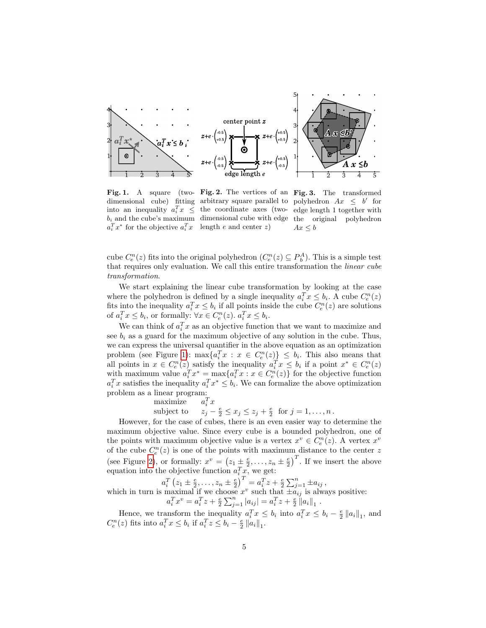

 $a_i^T x^*$  for the objective  $a_i^T x$  length e and center z)

Fig. 1. A square (two- Fig. 2. The vertices of an Fig. 3. The transformed dimensional cube) fitting arbitrary square parallel to polyhedron  $Ax \leq b'$  for into an inequality  $a_i^T x \leq$  the coordinate axes (two-edge length 1 together with  $b_i$  and the cube's maximum dimensional cube with edge the original polyhedron

 $Ax \leq b$ 

cube  $C_e^n(z)$  fits into the original polyhedron  $(C_e^n(z) \subseteq P_b^A)$ . This is a simple test that requires only evaluation. We call this entire transformation the linear cube transformation.

We start explaining the linear cube transformation by looking at the case where the polyhedron is defined by a single inequality  $a_i^T x \leq b_i$ . A cube  $C_e^n(z)$ where the polynearon is defined by a single inequality  $a_i^T x \leq b_i$ . A cube  $C_e(z)$  fits into the inequality  $a_i^T x \leq b_i$  if all points inside the cube  $C_e^n(z)$  are solutions of  $a_i^T x \leq b_i$ , or formally:  $\forall x \in C_e^n(z)$ .  $a_i^T x \leq b_i$ .

We can think of  $a_i^T x$  as an objective function that we want to maximize and see  $b_i$  as a guard for the maximum objective of any solution in the cube. Thus, we can express the universal quantifier in the above equation as an optimization problem (see Figure 1):  $\max\{a_i^T x : x \in C_e^n(z)\} \leq b_i$ . This also means that all points in  $x \in C_e^n(z)$  satisfy the inequality  $a_i^T x \leq b_i$  if a point  $x^* \in C_e^n(z)$ with maximum value  $a_i^T x^* = \max\{a_i^T x : x \in C_c^n(z)\}\)$  for the objective function  $a_i^T x$  satisfies the inequality  $a_i^T x^* \leq b_i$ . We can formalize the above optimization problem as a linear program:

maximize  $a_i^T x$ 

subject to  $\frac{e}{2} \leq x_j \leq z_j + \frac{e}{2}$  for  $j = 1, \ldots, n$ .

However, for the case of cubes, there is an even easier way to determine the maximum objective value. Since every cube is a bounded polyhedron, one of the points with maximum objective value is a vertex  $x^v \in C_c^n(z)$ . A vertex  $x^v$ the points with maximum objective value is a vertex  $x \in C_e(z)$ . A vertex x of the cube  $C_e^n(z)$  is one of the points with maximum distance to the center z (see Figure 2), or formally:  $x^v = (z_1 \pm \frac{e}{z_1}, \ldots, z_n \pm \frac{e}{z_n})^T$ . If we insert the above equation into the objective function  $a_i^T \tilde{x}$ , we get:

 $a_i^T (z_1 \pm \frac{e}{2}, \dots, z_n \pm \frac{e}{2})^T = a_i^T z + \frac{e}{2} \sum_{j=1}^n \pm a_{ij}$ which in turn is maximal if we choose  $x^v$  such that  $\pm a_{ij}$  is always positive:  $a_i^T x^v = a_i^T z + \frac{e}{2} \sum_{j=1}^n |a_{ij}| = a_i^T z + \frac{e}{2} ||a_i||_1$ .

Hence, we transform the inequality  $a_i^T x \leq b_i$  into  $a_i^T x \leq b_i - \frac{e}{2} ||a_i||_1$ , and  $C_e^n(z)$  fits into  $a_i^T x \leq b_i$  if  $a_i^T z \leq b_i - \frac{e}{2} ||a_i||_1$ .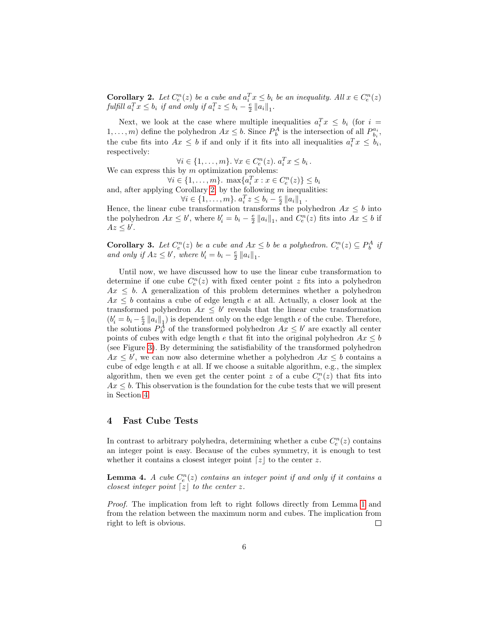**Corollary 2.** Let  $C_e^n(z)$  be a cube and  $a_i^T x \leq b_i$  be an inequality. All  $x \in C_e^n(z)$ fulfill  $a_i^T x \leq b_i$  if and only if  $a_i^T z \leq b_i - \frac{e}{2} ||a_i||_1$ .

Next, we look at the case where multiple inequalities  $a_i^T x \leq b_i$  (for  $i =$ 1,...,*m*) define the polyhedron  $Ax \leq b$ . Since  $P_b^A$  is the intersection of all  $P_{b_i}^{a_i}$ , the cube fits into  $Ax \leq b$  if and only if it fits into all inequalities  $a_i^Tx \leq b_i$ , respectively:

.

$$
\forall i \in \{1, \ldots, m\}. \ \forall x \in C_e^n(z). a_i^T x \le b_i
$$

We can express this by  $m$  optimization problems:

 $\forall i \in \{1, ..., m\}$ . max $\{a_i^T x : x \in C_e^n(z)\} \le b_i$ 

and, after applying Corollary 2, by the following  $m$  inequalities:

 $\forall i \in \{1, ..., m\}.\ a_i^T z \leq b_i - \frac{e}{2} ||a_i||_1.$ Hence, the linear cube transformation transforms the polyhedron  $Ax \leq b$  into the polyhedron  $Ax \leq b'$ , where  $b'_i = b_i - \frac{e}{2} ||a_i||_1$ , and  $C_e^n(z)$  fits into  $Ax \leq b$  if  $Az \leq b'$ .

**Corollary 3.** Let  $C_e^n(z)$  be a cube and  $Ax \leq b$  be a polyhedron.  $C_e^n(z) \subseteq P_b^A$  if and only if  $Az \leq b'$ , where  $b'_i = b_i - \frac{e}{2} ||a_i||_1$ .

Until now, we have discussed how to use the linear cube transformation to determine if one cube  $C_e^n(z)$  with fixed center point z fits into a polyhedron  $Ax \leq b$ . A generalization of this problem determines whether a polyhedron  $Ax \leq b$  contains a cube of edge length e at all. Actually, a closer look at the transformed polyhedron  $Ax \leq b'$  reveals that the linear cube transformation  $(b'_i = b_i - \frac{e}{2} ||a_i||_1)$  is dependent only on the edge length e of the cube. Therefore, the solutions  $P_{b'}^{\bar{A}}$  of the transformed polyhedron  $Ax \leq b'$  are exactly all center points of cubes with edge length e that fit into the original polyhedron  $Ax \leq b$ (see Figure 3). By determining the satisfiability of the transformed polyhedron  $Ax \leq b'$ , we can now also determine whether a polyhedron  $Ax \leq b$  contains a cube of edge length e at all. If we choose a suitable algorithm, e.g., the simplex algorithm, then we even get the center point z of a cube  $C_e^n(z)$  that fits into  $Ax \leq b$ . This observation is the foundation for the cube tests that we will present in Section 4.

#### 4 Fast Cube Tests

In contrast to arbitrary polyhedra, determining whether a cube  $C_e^n(z)$  contains an integer point is easy. Because of the cubes symmetry, it is enough to test whether it contains a closest integer point  $|z|$  to the center z.

**Lemma 4.** A cube  $C_e^n(z)$  contains an integer point if and only if it contains a closest integer point  $\lceil z \rceil$  to the center z.

Proof. The implication from left to right follows directly from Lemma 1 and from the relation between the maximum norm and cubes. The implication from right to left is obvious.  $\Box$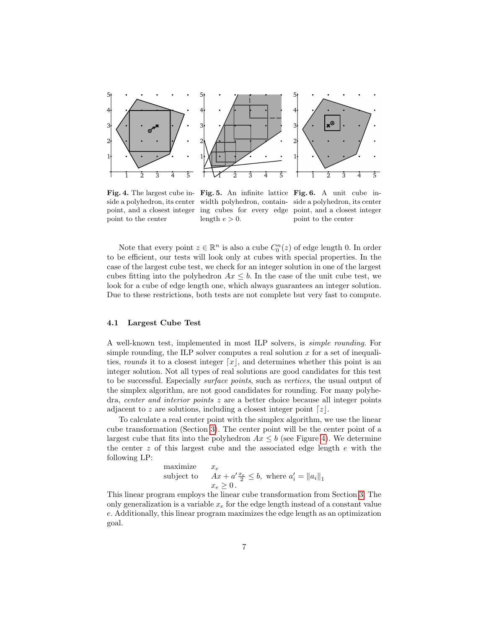

point to the center

length  $e > 0$ .

Fig. 4. The largest cube in- Fig. 5. An infinite lattice Fig. 6. A unit cube inside a polyhedron, its center width polyhedron, contain-side a polyhedron, its center point, and a closest integer ing cubes for every edge point, and a closest integer point to the center

Note that every point  $z \in \mathbb{R}^n$  is also a cube  $C_0^n(z)$  of edge length 0. In order to be efficient, our tests will look only at cubes with special properties. In the case of the largest cube test, we check for an integer solution in one of the largest cubes fitting into the polyhedron  $Ax \leq b$ . In the case of the unit cube test, we look for a cube of edge length one, which always guarantees an integer solution. Due to these restrictions, both tests are not complete but very fast to compute.

#### 4.1 Largest Cube Test

A well-known test, implemented in most ILP solvers, is simple rounding. For simple rounding, the ILP solver computes a real solution  $x$  for a set of inequalities, rounds it to a closest integer  $\lceil x \rceil$ , and determines whether this point is an integer solution. Not all types of real solutions are good candidates for this test to be successful. Especially surface points, such as vertices, the usual output of the simplex algorithm, are not good candidates for rounding. For many polyhedra, center and interior points z are a better choice because all integer points adjacent to z are solutions, including a closest integer point  $|z|$ .

To calculate a real center point with the simplex algorithm, we use the linear cube transformation (Section 3). The center point will be the center point of a largest cube that fits into the polyhedron  $Ax \leq b$  (see Figure 4). We determine the center  $z$  of this largest cube and the associated edge length  $e$  with the following LP:

maximize 
$$
x_e
$$
  
subject to  $Ax + a'\frac{x_e}{2} \le b$ , where  $a'_i = ||a_i||_1$   
 $x_e \ge 0$ .

This linear program employs the linear cube transformation from Section 3. The only generalization is a variable  $x_e$  for the edge length instead of a constant value e. Additionally, this linear program maximizes the edge length as an optimization goal.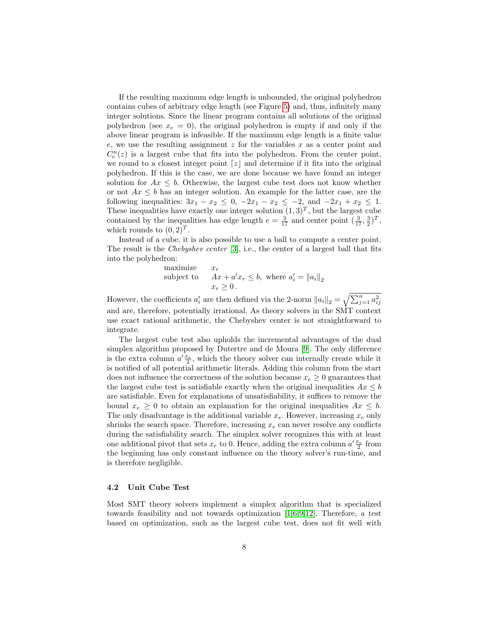If the resulting maximum edge length is unbounded, the original polyhedron contains cubes of arbitrary edge length (see Figure 5) and, thus, infinitely many integer solutions. Since the linear program contains all solutions of the original polyhedron (see  $x_e = 0$ ), the original polyhedron is empty if and only if the above linear program is infeasible. If the maximum edge length is a finite value e, we use the resulting assignment  $z$  for the variables  $x$  as a center point and  $C_e^n(z)$  is a largest cube that fits into the polyhedron. From the center point, we round to a closest integer point  $\lceil z \rceil$  and determine if it fits into the original polyhedron. If this is the case, we are done because we have found an integer solution for  $Ax \leq b$ . Otherwise, the largest cube test does not know whether or not  $Ax \leq b$  has an integer solution. An example for the latter case, are the following inequalities:  $3x_1 - x_2 \le 0$ ,  $-2x_1 - x_2 \le -2$ , and  $-2x_1 + x_2 \le 1$ . These inequalities have exactly one integer solution  $(1,3)^T$ , but the largest cube contained by the inequalities has edge length  $e = \frac{3}{17}$  and center point  $(\frac{3}{17}, \frac{3}{2})^T$ , which rounds to  $(0,2)^T$ .

Instead of a cube, it is also possible to use a ball to compute a center point. The result is the Chebyshev center [3], i.e., the center of a largest ball that fits into the polyhedron:

maximize 
$$
x_r
$$
  
subject to  $Ax + a'x_r \leq b$ , where  $a'_i = ||a_i||_2$   
 $x_r \geq 0$ .

However, the coefficients  $a'_i$  are then defined via the 2-norm  $||a_i||_2 = \sqrt{\sum_{j=1}^n a_{ij}^2}$ and are, therefore, potentially irrational. As theory solvers in the SMT context use exact rational arithmetic, the Chebyshev center is not straightforward to integrate.

The largest cube test also upholds the incremental advantages of the dual simplex algorithm proposed by Dutertre and de Moura [9]. The only difference is the extra column  $a' \frac{x_e}{2}$ , which the theory solver can internally create while it is notified of all potential arithmetic literals. Adding this column from the start does not influence the correctness of the solution because  $x_e \geq 0$  guarantees that the largest cube test is satisfiable exactly when the original inequalities  $Ax \leq b$ are satisfiable. Even for explanations of unsatisfiability, it suffices to remove the bound  $x_e \geq 0$  to obtain an explanation for the original inequalities  $Ax \leq b$ . The only disadvantage is the additional variable  $x_e$ . However, increasing  $x_e$  only shrinks the search space. Therefore, increasing  $x_e$  can never resolve any conflicts during the satisfiability search. The simplex solver recognizes this with at least one additional pivot that sets  $x_e$  to 0. Hence, adding the extra column  $a' \frac{x_e}{2}$  from the beginning has only constant influence on the theory solver's run-time, and is therefore negligible.

#### 4.2 Unit Cube Test

Most SMT theory solvers implement a simplex algorithm that is specialized towards feasibility and not towards optimization [1,6,9,12]. Therefore, a test based on optimization, such as the largest cube test, does not fit well with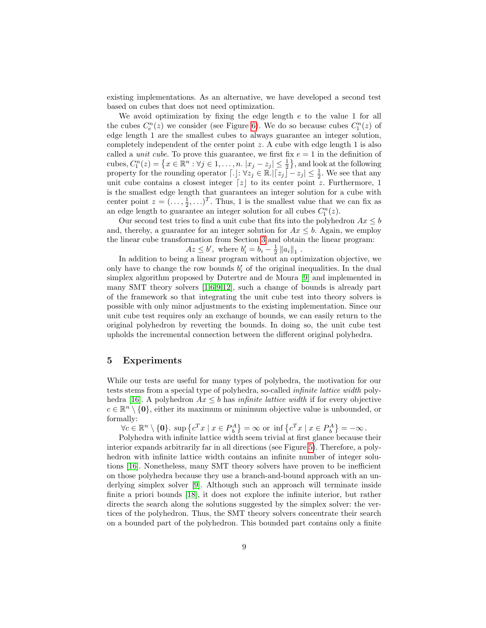existing implementations. As an alternative, we have developed a second test based on cubes that does not need optimization.

We avoid optimization by fixing the edge length  $e$  to the value 1 for all the cubes  $C_e^n(z)$  we consider (see Figure 6). We do so because cubes  $C_1^n(z)$  of edge length 1 are the smallest cubes to always guarantee an integer solution, completely independent of the center point z. A cube with edge length 1 is also called a *unit cube*. To prove this guarantee, we first fix  $e = 1$  in the definition of cubes,  $C_1^n(z) = \left\{ x \in \mathbb{R}^n : \forall j \in 1, \ldots, n. \ |x_j - z_j| \le \frac{1}{2} \right\}$ , and look at the following property for the rounding operator  $\lceil . \rceil$ :  $\forall z_j \in \mathbb{R}$ . $\lceil z_j \rceil - z_j \rceil \leq \frac{1}{2}$ . We see that any unit cube contains a closest integer  $|z|$  to its center point z. Furthermore, 1 is the smallest edge length that guarantees an integer solution for a cube with center point  $z = (\ldots, \frac{1}{2}, \ldots)^T$ . Thus, 1 is the smallest value that we can fix as an edge length to guarantee an integer solution for all cubes  $C_1^n(z)$ .

Our second test tries to find a unit cube that fits into the polyhedron  $Ax \leq b$ and, thereby, a guarantee for an integer solution for  $Ax \leq b$ . Again, we employ the linear cube transformation from Section 3 and obtain the linear program: .

$$
Az \leq b'
$$
, where  $b'_i = b_i - \frac{1}{2} ||a_i||_1$ 

In addition to being a linear program without an optimization objective, we only have to change the row bounds  $b_i'$  of the original inequalities. In the dual simplex algorithm proposed by Dutertre and de Moura [9] and implemented in many SMT theory solvers [1,6,9,12], such a change of bounds is already part of the framework so that integrating the unit cube test into theory solvers is possible with only minor adjustments to the existing implementation. Since our unit cube test requires only an exchange of bounds, we can easily return to the original polyhedron by reverting the bounds. In doing so, the unit cube test upholds the incremental connection between the different original polyhedra.

#### 5 Experiments

While our tests are useful for many types of polyhedra, the motivation for our tests stems from a special type of polyhedra, so-called infinite lattice width polyhedra [16]. A polyhedron  $Ax \leq b$  has *infinite lattice width* if for every objective  $c \in \mathbb{R}^n \setminus \{0\}$ , either its maximum or minimum objective value is unbounded, or formally:

 $\forall c \in \mathbb{R}^n \setminus \{\mathbf{0}\}.$  sup  $\left\{c^T x \mid x \in P_b^A\right\} = \infty$  or inf  $\left\{c^T x \mid x \in P_b^A\right\} = -\infty$ .

Polyhedra with infinite lattice width seem trivial at first glance because their interior expands arbitrarily far in all directions (see Figure 5). Therefore, a polyhedron with infinite lattice width contains an infinite number of integer solutions [16]. Nonetheless, many SMT theory solvers have proven to be inefficient on those polyhedra because they use a branch-and-bound approach with an underlying simplex solver [9]. Although such an approach will terminate inside finite a priori bounds [18], it does not explore the infinite interior, but rather directs the search along the solutions suggested by the simplex solver: the vertices of the polyhedron. Thus, the SMT theory solvers concentrate their search on a bounded part of the polyhedron. This bounded part contains only a finite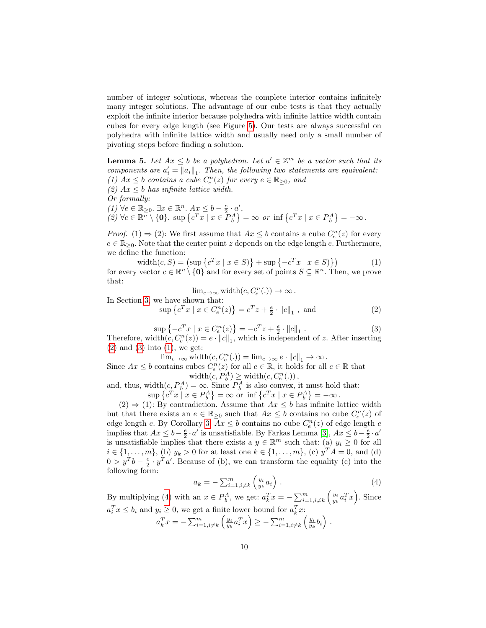number of integer solutions, whereas the complete interior contains infinitely many integer solutions. The advantage of our cube tests is that they actually exploit the infinite interior because polyhedra with infinite lattice width contain cubes for every edge length (see Figure 5). Our tests are always successful on polyhedra with infinite lattice width and usually need only a small number of pivoting steps before finding a solution.

**Lemma 5.** Let  $Ax \leq b$  be a polyhedron. Let  $a' \in \mathbb{Z}^m$  be a vector such that its components are  $a'_i = ||a_i||_1$ . Then, the following two statements are equivalent: (1)  $Ax \leq b$  contains a cube  $C_e^n(z)$  for every  $e \in \mathbb{R}_{\geq 0}$ , and

(2)  $Ax \leq b$  has infinite lattice width.

Or formally:

(1)  $\forall e \in \mathbb{R}_{\geq 0}$ .  $\exists x \in \mathbb{R}^n$ .  $Ax \leq b - \frac{e}{2} \cdot a'$ ,  $\mathcal{L}(2)$   $\forall c \in \mathbb{R}^n \setminus \{\mathbf{0}\}\text{. } \sup \left\{c^T x \mid x \in P_b^A\right\} = \infty \text{ or } \inf \left\{c^T x \mid x \in P_b^A\right\} = -\infty.$ 

*Proof.* (1)  $\Rightarrow$  (2): We first assume that  $Ax \leq b$  contains a cube  $C_e^n(z)$  for every  $e \in \mathbb{R}_{\geq 0}$ . Note that the center point z depends on the edge length e. Furthermore, we define the function:

width $(c, S) = (\sup \{c^T x \mid x \in S)\} + \sup \{-c^T x \mid x \in S)$  (1) for every vector  $c \in \mathbb{R}^n \setminus \{0\}$  and for every set of points  $S \subseteq \mathbb{R}^n$ . Then, we prove that:

 $\lim_{e\to\infty} \text{width}(c, C_e^n(.)) \to \infty$ . In Section 3, we have shown that:  $\sup \{c^T x \mid x \in C_e^n(z)\} = c^T z + \frac{e}{2} \cdot ||c||_1$ , and (2)

$$
\sup \{-c^T x \mid x \in C_c^n(z)\} = -c^T z + \frac{e}{2} \cdot ||c||_1. \tag{3}
$$

Therefore, width $(c, C<sub>e</sub><sup>n</sup>(z)) = e \cdot ||c||_1$ , which is independent of z. After inserting  $(2)$  and  $(3)$  into  $(1)$ , we get:

 $\lim_{e \to \infty} \text{width}(c, C_e^n(.)) = \lim_{e \to \infty} e \cdot ||c||_1 \to \infty$ . Since  $Ax \leq b$  contains cubes  $C_e^n(z)$  for all  $e \in \mathbb{R}$ , it holds for all  $e \in \mathbb{R}$  that

width $(c, P_b^A) \geq \text{width}(c, C_e^n(.))$ ,

and, thus, width $(c, P_b^A) = \infty$ . Since  $P_b^A$  is also convex, it must hold that:  $\sup \{ c^T x \mid x \in P_b^A \} = \infty \text{ or } \inf \{ c^T x \mid x \in P_b^A \} = -\infty.$ 

 $(2) \Rightarrow (1)$ : By contradiction. Assume that  $Ax \leq b$  has infinite lattice width but that there exists an  $e \in \mathbb{R}_{\geq 0}$  such that  $Ax \leq b$  contains no cube  $C_e^n(z)$  of edge length  $e$ . By Corollary 3,  $Ax \leq b$  contains no cube  $C_e^n(z)$  of edge length  $e$ implies that  $Ax \leq b - \frac{e}{2} \cdot a'$  is unsatisfiable. By Farkas Lemma [3],  $Ax \leq b - \frac{e}{2} \cdot a'$ is unsatisfiable implies that there exists a  $y \in \mathbb{R}^m$  such that: (a)  $y_i \geq 0$  for all  $i \in \{1, ..., m\}$ , (b)  $y_k > 0$  for at least one  $k \in \{1, ..., m\}$ , (c)  $y^T A = 0$ , and (d)  $0 > y^T b - \frac{e}{2} \cdot y^T a'$ . Because of (b), we can transform the equality (c) into the following form:

$$
a_k = -\sum_{i=1, i \neq k}^{m} \left(\frac{y_i}{y_k} a_i\right). \tag{4}
$$

By multiplying (4) with an  $x \in P_b^A$ , we get:  $a_k^T x = -\sum_{i=1, i \neq k}^m \left( \frac{y_i}{y_k} a_i^T x \right)$ . Since  $a_i^T x \leq b_i$  and  $y_i \geq 0$ , we get a finite lower bound for  $a_k^T x$ .

$$
a_k^T x = -\sum_{i=1, i \neq k}^m \left( \frac{y_i}{y_k} a_i^T x \right) \ge -\sum_{i=1, i \neq k}^m \left( \frac{y_i}{y_k} b_i \right).
$$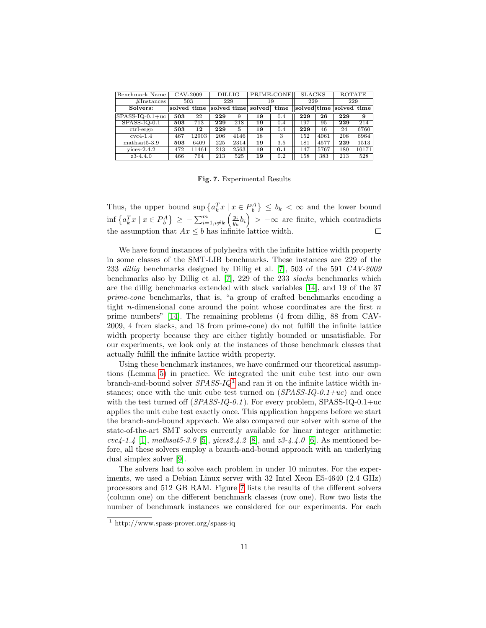| Benchmark Name            | CAV-2009 |       | <b>DILLIG</b> |      | $ PRIME$ -CONE $ $             |     | <b>SLACKS</b> |      | ROTATE                          |       |
|---------------------------|----------|-------|---------------|------|--------------------------------|-----|---------------|------|---------------------------------|-------|
| $\overline{\#}$ Instances | 503      |       | 229           |      | 19                             |     | 229           |      | 229                             |       |
| Solvers:                  |          |       |               |      | solved time solved time solved |     |               |      | time   solved time  solved time |       |
| $SPASS-IO-0.1+uc$         | 503      | 22    | 229           | 9    | 19                             | 0.4 | 229           | 26   | 229                             | 9     |
| $SPASS-IQ-0.1$            | 503      | 713   | 229           | 218  | 19                             | 0.4 | 197           | 95   | 229                             | 214   |
| $ctr1-ergo$               | 503      | 12    | 229           | 5    | 19                             | 0.4 | 229           | 46   | 24                              | 6760  |
| $\text{cvc4-1.4}$         | 467      | 12903 | 206           | 4146 | 18                             | 3   | 152           | 4061 | 208                             | 6964  |
| $math_{\text{math5-3.9}}$ | 503      | 6409  | 225           | 2314 | 19                             | 3.5 | 181           | 4577 | 229                             | 1513  |
| $vices-2.4.2$             | 472      | 11461 | 213           | 2563 | 19                             | 0.1 | 147           | 5767 | 180                             | 10171 |
| $z3-4.4.0$                | 466      | 764   | 213           | 525  | 19                             | 0.2 | 158           | 383  | 213                             | 528   |

Fig. 7. Experimental Results

Thus, the upper bound  $\sup \{a_k^T x \mid x \in P_b^A\} \leq b_k < \infty$  and the lower bound  $\inf \{a_k^T x \mid x \in P_b^A\} \geq -\sum_{i=1, i \neq k}^m \left(\frac{y_i}{y_k}b_i\right) > -\infty$  are finite, which contradicts the assumption that  $Ax \leq b$  has infinite lattice width.  $\Box$ 

We have found instances of polyhedra with the infinite lattice width property in some classes of the SMT-LIB benchmarks. These instances are 229 of the 233 dillig benchmarks designed by Dillig et al. [7], 503 of the 591 CAV-2009 benchmarks also by Dillig et al. [7], 229 of the 233 slacks benchmarks which are the dillig benchmarks extended with slack variables [14], and 19 of the 37 prime-cone benchmarks, that is, "a group of crafted benchmarks encoding a tight *n*-dimensional cone around the point whose coordinates are the first  $n$ prime numbers" [14]. The remaining problems (4 from dillig, 88 from CAV-2009, 4 from slacks, and 18 from prime-cone) do not fulfill the infinite lattice width property because they are either tightly bounded or unsatisfiable. For our experiments, we look only at the instances of those benchmark classes that actually fulfill the infinite lattice width property.

Using these benchmark instances, we have confirmed our theoretical assumptions (Lemma 5) in practice. We integrated the unit cube test into our own branch-and-bound solver  $SPASS-IQ<sup>1</sup>$  and ran it on the infinite lattice width instances; once with the unit cube test turned on  $(SPASS-IQ-0.1+uc)$  and once with the test turned off  $(SPASS-IQ-0.1)$ . For every problem, SPASS-IQ-0.1+uc applies the unit cube test exactly once. This application happens before we start the branch-and-bound approach. We also compared our solver with some of the state-of-the-art SMT solvers currently available for linear integer arithmetic:  $ccc4$ -1.4 [1], mathsat5-3.9 [5], yices 2.4.2 [8], and  $z3$ -4.4.0 [6]. As mentioned before, all these solvers employ a branch-and-bound approach with an underlying dual simplex solver [9].

The solvers had to solve each problem in under 10 minutes. For the experiments, we used a Debian Linux server with 32 Intel Xeon E5-4640 (2.4 GHz) processors and 512 GB RAM. Figure 7 lists the results of the different solvers (column one) on the different benchmark classes (row one). Row two lists the number of benchmark instances we considered for our experiments. For each

 $1 \text{ http://www.spass-prover.org/spass-ig}$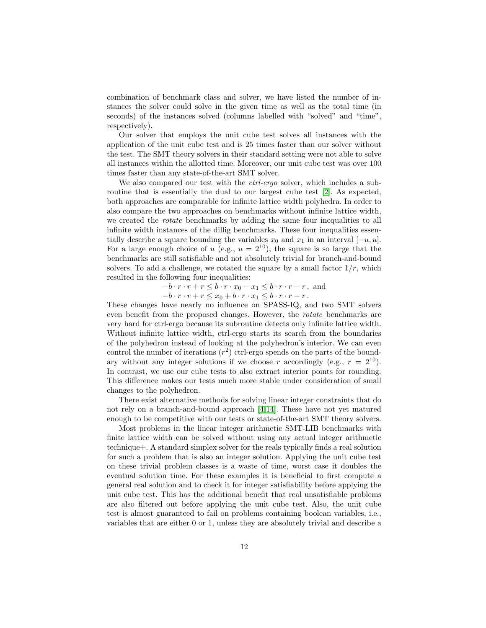combination of benchmark class and solver, we have listed the number of instances the solver could solve in the given time as well as the total time (in seconds) of the instances solved (columns labelled with "solved" and "time", respectively).

Our solver that employs the unit cube test solves all instances with the application of the unit cube test and is 25 times faster than our solver without the test. The SMT theory solvers in their standard setting were not able to solve all instances within the allotted time. Moreover, our unit cube test was over 100 times faster than any state-of-the-art SMT solver.

We also compared our test with the *ctrl-ergo* solver, which includes a subroutine that is essentially the dual to our largest cube test [2]. As expected, both approaches are comparable for infinite lattice width polyhedra. In order to also compare the two approaches on benchmarks without infinite lattice width, we created the *rotate* benchmarks by adding the same four inequalities to all infinite width instances of the dillig benchmarks. These four inequalities essentially describe a square bounding the variables  $x_0$  and  $x_1$  in an interval  $[-u, u]$ . For a large enough choice of u (e.g.,  $u = 2^{10}$ ), the square is so large that the benchmarks are still satisfiable and not absolutely trivial for branch-and-bound solvers. To add a challenge, we rotated the square by a small factor  $1/r$ , which resulted in the following four inequalities:

> $-b \cdot r \cdot r + r \leq b \cdot r \cdot x_0 - x_1 \leq b \cdot r \cdot r - r$ , and  $-b \cdot r \cdot r + r \leq x_0 + b \cdot r \cdot x_1 \leq b \cdot r \cdot r - r$ .

These changes have nearly no influence on SPASS-IQ, and two SMT solvers even benefit from the proposed changes. However, the rotate benchmarks are very hard for ctrl-ergo because its subroutine detects only infinite lattice width. Without infinite lattice width, ctrl-ergo starts its search from the boundaries of the polyhedron instead of looking at the polyhedron's interior. We can even control the number of iterations  $(r^2)$  ctrl-ergo spends on the parts of the boundary without any integer solutions if we choose r accordingly (e.g.,  $r = 2^{10}$ ). In contrast, we use our cube tests to also extract interior points for rounding. This difference makes our tests much more stable under consideration of small changes to the polyhedron.

There exist alternative methods for solving linear integer constraints that do not rely on a branch-and-bound approach [4,14]. These have not yet matured enough to be competitive with our tests or state-of-the-art SMT theory solvers.

Most problems in the linear integer arithmetic SMT-LIB benchmarks with finite lattice width can be solved without using any actual integer arithmetic technique+. A standard simplex solver for the reals typically finds a real solution for such a problem that is also an integer solution. Applying the unit cube test on these trivial problem classes is a waste of time, worst case it doubles the eventual solution time. For these examples it is beneficial to first compute a general real solution and to check it for integer satisfiability before applying the unit cube test. This has the additional benefit that real unsatisfiable problems are also filtered out before applying the unit cube test. Also, the unit cube test is almost guaranteed to fail on problems containing boolean variables, i.e., variables that are either 0 or 1, unless they are absolutely trivial and describe a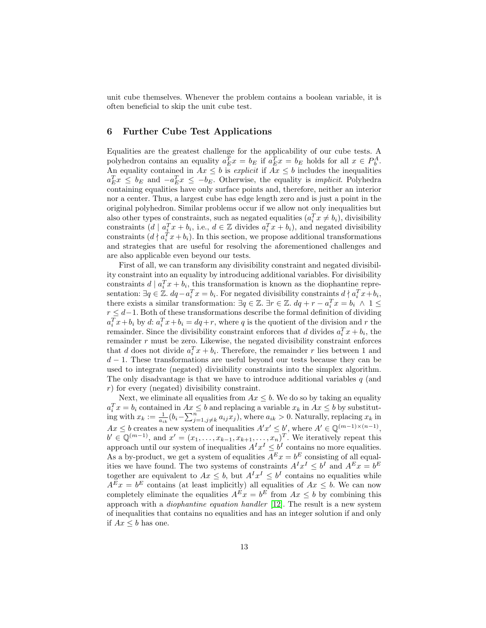unit cube themselves. Whenever the problem contains a boolean variable, it is often beneficial to skip the unit cube test.

#### 6 Further Cube Test Applications

Equalities are the greatest challenge for the applicability of our cube tests. A polyhedron contains an equality  $a_E^T x = b_E$  if  $a_E^T x = b_E$  holds for all  $x \in P_b^A$ . An equality contained in  $Ax \leq b$  is *explicit* if  $Ax \leq b$  includes the inequalities  $a_E^T x \leq b_E$  and  $-a_E^T x \leq -b_E$ . Otherwise, the equality is *implicit*. Polyhedra containing equalities have only surface points and, therefore, neither an interior nor a center. Thus, a largest cube has edge length zero and is just a point in the original polyhedron. Similar problems occur if we allow not only inequalities but also other types of constraints, such as negated equalities  $(a_i^T x \neq b_i)$ , divisibility constraints  $(d | a_i^T x + b_i, \text{ i.e., } d \in \mathbb{Z} \text{ divides } a_i^T x + b_i), \text{ and negated divisibility}$ constraints  $(d \nmid a_i^T x + b_i)$ . In this section, we propose additional transformations and strategies that are useful for resolving the aforementioned challenges and are also applicable even beyond our tests.

First of all, we can transform any divisibility constraint and negated divisibility constraint into an equality by introducing additional variables. For divisibility constraints  $d | a_i^T x + b_i$ , this transformation is known as the diophantine representation:  $\exists q \in \mathbb{Z}$ .  $dq - a_i^T x = b_i$ . For negated divisibility constraints  $d \nmid a_i^T x + b_i$ , there exists a similar transformation:  $\exists q \in \mathbb{Z}$ .  $\exists r \in \mathbb{Z}$ .  $dq + r - a_i^T x = b_i \wedge 1 \leq$  $r \leq d-1$ . Both of these transformations describe the formal definition of dividing  $a_i^T x + b_i$  by d:  $a_i^T x + b_i = dq + r$ , where q is the quotient of the division and r the remainder. Since the divisibility constraint enforces that d divides  $a_i^T x + b_i$ , the remainder  $r$  must be zero. Likewise, the negated divisibility constraint enforces that d does not divide  $a_i^T x + b_i$ . Therefore, the remainder r lies between 1 and  $d-1$ . These transformations are useful beyond our tests because they can be used to integrate (negated) divisibility constraints into the simplex algorithm. The only disadvantage is that we have to introduce additional variables  $q$  (and r) for every (negated) divisibility constraint.

Next, we eliminate all equalities from  $Ax \leq b$ . We do so by taking an equality  $a_i^T x = b_i$  contained in  $Ax \leq b$  and replacing a variable  $x_k$  in  $Ax \leq b$  by substituting with  $x_k := \frac{1}{a_{ik}} (b_i - \sum_{j=1, j\neq k}^{n} a_{ij} x_j)$ , where  $a_{ik} > 0$ . Naturally, replacing  $x_k$  in  $Ax \leq b$  creates a new system of inequalities  $A'x' \leq b'$ , where  $A' \in \mathbb{Q}^{(m-1)\times (n-1)}$ ,  $b' \in \mathbb{Q}^{(m-1)}$ , and  $x' = (x_1, \ldots, x_{k-1}, x_{k+1}, \ldots, x_n)^T$ . We iteratively repeat this approach until our system of inequalities  $A<sup>I</sup> x<sup>I</sup> \leq b<sup>I</sup>$  contains no more equalities. As a by-product, we get a system of equalities  $A^{E}x = b^{E}$  consisting of all equalities we have found. The two systems of constraints  $A^I x^I \leq b^I$  and  $A^E x = b^E$ together are equivalent to  $Ax \leq b$ , but  $A^{I}x^{I} \leq b^{I}$  contains no equalities while  $A^{E}x = b^{E}$  contains (at least implicitly) all equalities of  $Ax \leq b$ . We can now completely eliminate the equalities  $A^{E}x = b^{E}$  from  $Ax \leq b$  by combining this approach with a *diophantine equation handler* [12]. The result is a new system of inequalities that contains no equalities and has an integer solution if and only if  $Ax \leq b$  has one.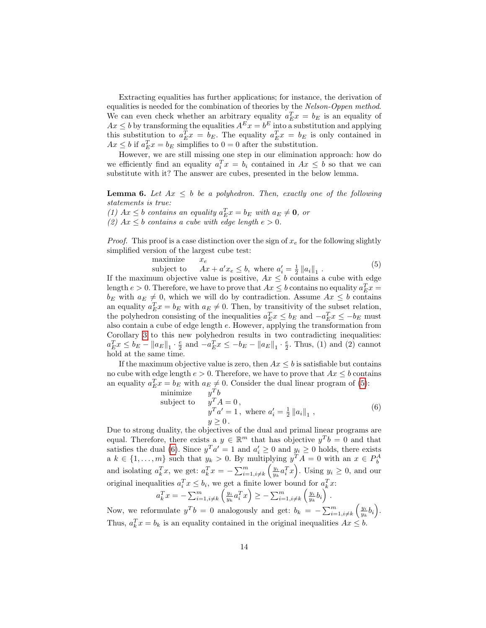Extracting equalities has further applications; for instance, the derivation of equalities is needed for the combination of theories by the Nelson-Oppen method. We can even check whether an arbitrary equality  $a_E^T x = b_E$  is an equality of  $Ax \leq b$  by transforming the equalities  $A^{E}x = b^{E}$  into a substitution and applying this substitution to  $a_E^T x = b_E$ . The equality  $a_E^T x = b_E$  is only contained in  $Ax \leq b$  if  $a_E^T x = b_E$  simplifies to  $0 = 0$  after the substitution.

However, we are still missing one step in our elimination approach: how do we efficiently find an equality  $a_i^T x = b_i$  contained in  $Ax \leq b$  so that we can substitute with it? The answer are cubes, presented in the below lemma.

**Lemma 6.** Let  $Ax \leq b$  be a polyhedron. Then, exactly one of the following statements is true:

(1)  $Ax \leq b$  contains an equality  $a_E^T x = b_E$  with  $a_E \neq \mathbf{0}$ , or (2)  $Ax \leq b$  contains a cube with edge length  $e > 0$ .

*Proof.* This proof is a case distinction over the sign of  $x_e$  for the following slightly simplified version of the largest cube test:

maximize

subject to 
$$
Ax + a'x_e \leq b, \text{ where } a'_i = \frac{1}{2} ||a_i||_1.
$$
 (5)

If the maximum objective value is positive,  $Ax \leq b$  contains a cube with edge length  $e > 0$ . Therefore, we have to prove that  $Ax \leq b$  contains no equality  $a_E^T x =$  $b_E$  with  $a_E \neq 0$ , which we will do by contradiction. Assume  $Ax \leq b$  contains an equality  $a_E^T x = b_E$  with  $a_E \neq 0$ . Then, by transitivity of the subset relation, the polyhedron consisting of the inequalities  $a_E^T x \leq b_E$  and  $-a_E^T x \leq -b_E$  must also contain a cube of edge length e. However, applying the transformation from Corollary 3 to this new polyhedron results in two contradicting inequalities:  $a_E^T x \le b_E - ||a_E||_1 \cdot \frac{e}{2}$  and  $-a_E^T x \le -b_E - ||a_E||_1 \cdot \frac{e}{2}$ . Thus, (1) and (2) cannot hold at the same time.

If the maximum objective value is zero, then  $Ax \leq b$  is satisfiable but contains no cube with edge length  $e > 0$ . Therefore, we have to prove that  $Ax \leq b$  contains an equality  $a_E^T x = b_E$  with  $a_E \neq 0$ . Consider the dual linear program of (5):

minimize 
$$
y^T b
$$
  
\nsubject to  $y^T A = 0$ ,  
\n $y^T a' = 1$ , where  $a'_i = \frac{1}{2} ||a_i||_1$ , (6)  
\n $y \ge 0$ .

.

Due to strong duality, the objectives of the dual and primal linear programs are equal. Therefore, there exists a  $y \in \mathbb{R}^m$  that has objective  $y^T b = 0$  and that satisfies the dual (6). Since  $y^T a' = 1$  and  $a'_i \ge 0$  and  $y_i \ge 0$  holds, there exists a  $k \in \{1, \ldots, m\}$  such that  $y_k > 0$ . By multiplying  $y^T A = 0$  with an  $x \in P_b^A$ and isolating  $a_k^T x$ , we get:  $a_k^T x = -\sum_{i=1, i\neq k}^m \left(\frac{y_i}{y_k} a_i^T x\right)$ . Using  $y_i \ge 0$ , and our original inequalities  $a_i^T x \leq b_i$ , we get a finite lower bound for  $a_k^T x$ .

$$
a_k^T x = -\sum_{i=1, i \neq k}^m \left( \frac{y_i}{y_k} a_i^T x \right) \ge -\sum_{i=1, i \neq k}^m \left( \frac{y_i}{y_k} b_i \right)
$$

Now, we reformulate  $y^T b = 0$  analogously and get:  $b_k = -\sum_{i=1, i \neq k}^m \left( \frac{y_i}{y_k} b_i \right)$ . Thus,  $a_k^T x = b_k$  is an equality contained in the original inequalities  $Ax \leq b$ .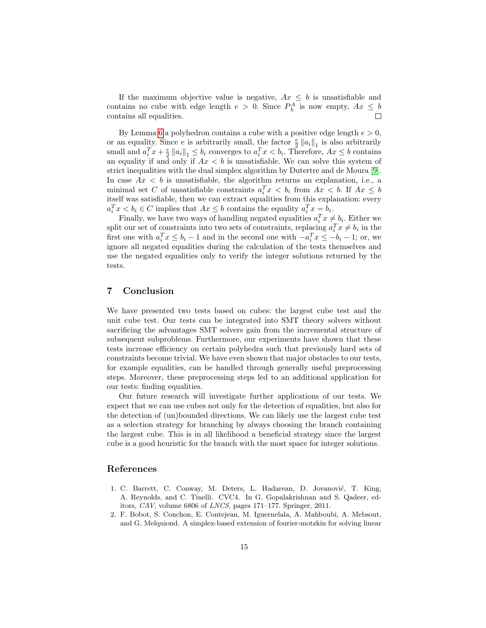If the maximum objective value is negative,  $Ax \leq b$  is unsatisfiable and contains no cube with edge length  $e > 0$ . Since  $P_b^A$  is now empty,  $Ax \leq b$ contains all equalities.  $\Box$ 

By Lemma 6 a polyhedron contains a cube with a positive edge length  $e > 0$ , or an equality. Since e is arbitrarily small, the factor  $\frac{e}{2} ||a_i||_1$  is also arbitrarily small and  $a_i^T x + \frac{e}{2} ||a_i||_1 \leq b_i$  converges to  $a_i^T x < b_i$ . Therefore,  $Ax \leq b$  contains an equality if and only if  $Ax < b$  is unsatisfiable. We can solve this system of strict inequalities with the dual simplex algorithm by Dutertre and de Moura [9]. In case  $Ax < b$  is unsatisfiable, the algorithm returns an explanation, i.e., a minimal set C of unsatisfiable constraints  $a_i^T x < b_i$  from  $Ax < b$ . If  $Ax \leq b$ itself was satisfiable, then we can extract equalities from this explanation: every  $a_i^T x < b_i \in C$  implies that  $Ax \leq b$  contains the equality  $a_i^T x = b_i$ .

Finally, we have two ways of handling negated equalities  $a_i^T x \neq b_i$ . Either we split our set of constraints into two sets of constraints, replacing  $a_i^T x \neq b_i$  in the first one with  $a_i^T x \leq b_i - 1$  and in the second one with  $-a_i^T x \leq -b_i - 1$ ; or, we ignore all negated equalities during the calculation of the tests themselves and use the negated equalities only to verify the integer solutions returned by the tests.

#### 7 Conclusion

We have presented two tests based on cubes: the largest cube test and the unit cube test. Our tests can be integrated into SMT theory solvers without sacrificing the advantages SMT solvers gain from the incremental structure of subsequent subproblems. Furthermore, our experiments have shown that these tests increase efficiency on certain polyhedra such that previously hard sets of constraints become trivial. We have even shown that major obstacles to our tests, for example equalities, can be handled through generally useful preprocessing steps. Moreover, these preprocessing steps led to an additional application for our tests: finding equalities.

Our future research will investigate further applications of our tests. We expect that we can use cubes not only for the detection of equalities, but also for the detection of (un)bounded directions. We can likely use the largest cube test as a selection strategy for branching by always choosing the branch containing the largest cube. This is in all likelihood a beneficial strategy since the largest cube is a good heuristic for the branch with the most space for integer solutions.

#### References

- 1. C. Barrett, C. Conway, M. Deters, L. Hadarean, D. Jovanović, T. King, A. Reynolds, and C. Tinelli. CVC4. In G. Gopalakrishnan and S. Qadeer, editors, CAV, volume 6806 of LNCS, pages 171–177. Springer, 2011.
- 2. F. Bobot, S. Conchon, E. Contejean, M. Iguernelala, A. Mahboubi, A. Mebsout, and G. Melquiond. A simplex-based extension of fourier-motzkin for solving linear